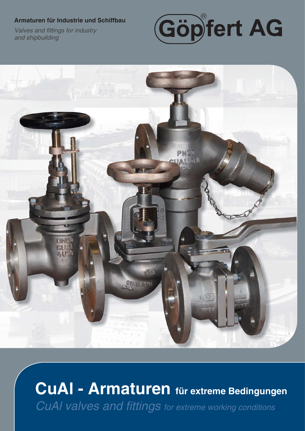#### **Armaturen für Industrie und Schiffbau**

**Valves and fittings for industry** *and shipbuilding*





# **CuAl - Armaturen für extreme Bedingungen** *CuAI valves and fittings for extreme working conditions*